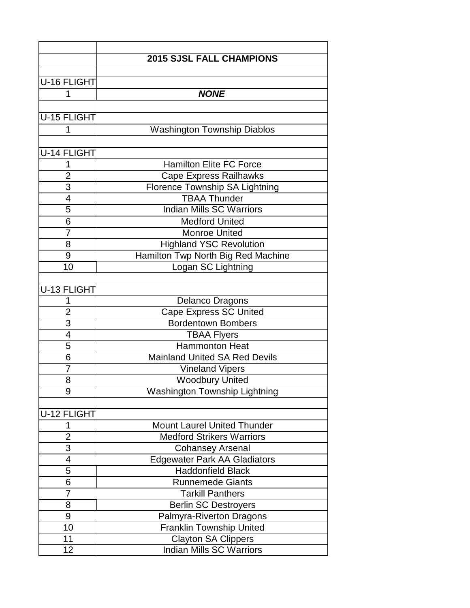|                    | <b>2015 SJSL FALL CHAMPIONS</b>       |
|--------------------|---------------------------------------|
| <b>U-16 FLIGHT</b> |                                       |
|                    | <b>NONE</b>                           |
| 1                  |                                       |
| U-15 FLIGHT        |                                       |
| 1                  | <b>Washington Township Diablos</b>    |
|                    |                                       |
| <b>U-14 FLIGHT</b> |                                       |
| 1                  | <b>Hamilton Elite FC Force</b>        |
| $\overline{2}$     | <b>Cape Express Railhawks</b>         |
| 3                  | <b>Florence Township SA Lightning</b> |
| 4                  | <b>TBAA Thunder</b>                   |
| 5                  | <b>Indian Mills SC Warriors</b>       |
| 6                  | <b>Medford United</b>                 |
| 7                  | <b>Monroe United</b>                  |
| 8                  | <b>Highland YSC Revolution</b>        |
| 9                  | Hamilton Twp North Big Red Machine    |
| 10                 | Logan SC Lightning                    |
|                    |                                       |
| U-13 FLIGHT        |                                       |
| 1                  | Delanco Dragons                       |
| $\overline{2}$     | <b>Cape Express SC United</b>         |
| 3                  | <b>Bordentown Bombers</b>             |
| $\overline{4}$     | <b>TBAA Flyers</b>                    |
| $\overline{5}$     | <b>Hammonton Heat</b>                 |
| 6                  | <b>Mainland United SA Red Devils</b>  |
| 7                  | <b>Vineland Vipers</b>                |
| 8                  | <b>Woodbury United</b>                |
| 9                  | <b>Washington Township Lightning</b>  |
|                    |                                       |
| U-12 FLIGHT        |                                       |
| 1                  | <b>Mount Laurel United Thunder</b>    |
| $\overline{2}$     | <b>Medford Strikers Warriors</b>      |
| 3                  | <b>Cohansey Arsenal</b>               |
| 4                  | <b>Edgewater Park AA Gladiators</b>   |
| 5                  | <b>Haddonfield Black</b>              |
| 6                  | <b>Runnemede Giants</b>               |
| 7                  | <b>Tarkill Panthers</b>               |
| 8                  | <b>Berlin SC Destroyers</b>           |
| 9                  | Palmyra-Riverton Dragons              |
| 10                 | Franklin Township United              |
| 11                 | <b>Clayton SA Clippers</b>            |
| 12                 | Indian Mills SC Warriors              |